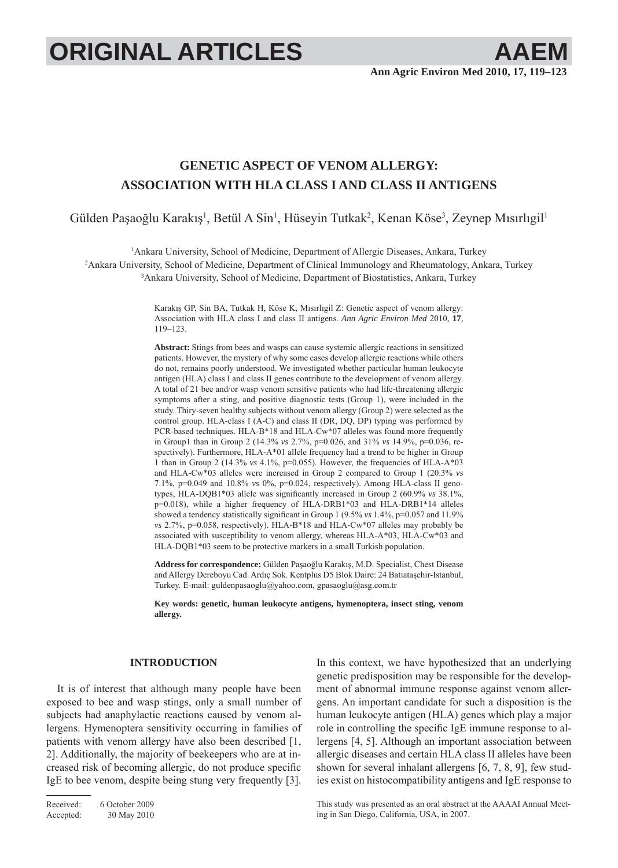# **ORIGINAL ARTICLES AAEM**

## **GENETIC ASPECT OF VENOM ALLERGY: ASSOCIATION WITH HLA CLASS I AND CLASS II ANTIGENS**

Gülden Paşaoğlu Karakış<sup>ı</sup>, Betül A Sin<sup>ı</sup>, Hüseyin Tutkak<sup>2</sup>, Kenan Köse<sup>3</sup>, Zeynep Mısırlıgil<sup>ı</sup>

1 Ankara University, School of Medicine, Department of Allergic Diseases, Ankara, Turkey 2 Ankara University, School of Medicine, Department of Clinical Immunology and Rheumatology, Ankara, Turkey 3 Ankara University, School of Medicine, Department of Biostatistics, Ankara, Turkey

> Karakış GP, Sin BA, Tutkak H, Köse K, Mısırlıgil Z: Genetic aspect of venom allergy: Association with HLA class I and class II antigens. *Ann Agric Environ Med* 2010, **17**, 119–123.

> **Abstract:** Stings from bees and wasps can cause systemic allergic reactions in sensitized patients. However, the mystery of why some cases develop allergic reactions while others do not, remains poorly understood. We investigated whether particular human leukocyte antigen (HLA) class I and class II genes contribute to the development of venom allergy. A total of 21 bee and/or wasp venom sensitive patients who had life-threatening allergic symptoms after a sting, and positive diagnostic tests (Group 1), were included in the study. Thiry-seven healthy subjects without venom allergy (Group 2) were selected as the control group. HLA-class I (A-C) and class II (DR, DQ, DP) typing was performed by PCR-based techniques. HLA-B\*18 and HLA-Cw\*07 alleles was found more frequently in Group1 than in Group 2 (14.3% *vs* 2.7%, p=0.026, and 31% *vs* 14.9%, p=0.036, respectively). Furthermore, HLA-A\*01 allele frequency had a trend to be higher in Group 1 than in Group 2 (14.3% *vs* 4.1%, p=0.055). However, the frequencies of HLA-A\*03 and HLA-Cw\*03 alleles were increased in Group 2 compared to Group 1 (20.3% *vs* 7.1%, p=0.049 and 10.8% *vs* 0%, p=0.024, respectively). Among HLA-class II genotypes, HLA-DQB1\*03 allele was significantly increased in Group 2 (60.9% *vs* 38.1%, p=0.018), while a higher frequency of HLA-DRB1\*03 and HLA-DRB1\*14 alleles showed a tendency statistically significant in Group 1 (9.5% *vs* 1.4%, p=0.057 and 11.9% *vs* 2.7%, p=0.058, respectively). HLA-B\*18 and HLA-Cw\*07 alleles may probably be associated with susceptibility to venom allergy, whereas HLA-A\*03, HLA-Cw\*03 and HLA-DQB1\*03 seem to be protective markers in a small Turkish population.

> **Address for correspondence:** Gülden Paşaoğlu Karakış, M.D. Specialist, Chest Disease and Allergy Dereboyu Cad. Ardıç Sok. Kentplus D5 Blok Daire: 24 Batıataşehir-Istanbul, Turkey. E-mail: guldenpasaoglu@yahoo.com, gpasaoglu@asg.com.tr

> **Key words: genetic, human leukocyte antigens, hymenoptera, insect sting, venom allergy.**

### **INTRODUCTION**

It is of interest that although many people have been exposed to bee and wasp stings, only a small number of subjects had anaphylactic reactions caused by venom allergens. Hymenoptera sensitivity occurring in families of patients with venom allergy have also been described [1, 2]. Additionally, the majority of beekeepers who are at increased risk of becoming allergic, do not produce specific IgE to bee venom, despite being stung very frequently [3].

Received: 6 October 2009 Accepted: 30 May 2010 In this context, we have hypothesized that an underlying genetic predisposition may be responsible for the development of abnormal immune response against venom allergens. An important candidate for such a disposition is the human leukocyte antigen (HLA) genes which play a major role in controlling the specific IgE immune response to allergens [4, 5]. Although an important association between allergic diseases and certain HLA class II alleles have been shown for several inhalant allergens [6, 7, 8, 9], few studies exist on histocompatibility antigens and IgE response to

This study was presented as an oral abstract at the AAAAI Annual Meeting in San Diego, California, USA, in 2007.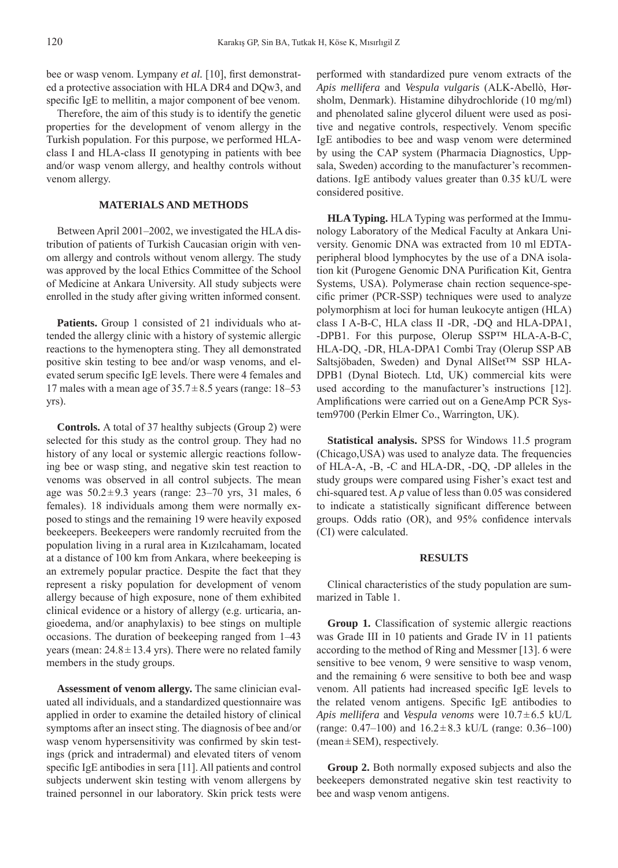bee or wasp venom. Lympany *et al.* [10], first demonstrated a protective association with HLA DR4 and DQw3, and specific IgE to mellitin, a major component of bee venom.

Therefore, the aim of this study is to identify the genetic properties for the development of venom allergy in the Turkish population. For this purpose, we performed HLAclass I and HLA-class II genotyping in patients with bee and/or wasp venom allergy, and healthy controls without venom allergy.

#### **MATERIALS AND METHODS**

Between April 2001–2002, we investigated the HLA distribution of patients of Turkish Caucasian origin with venom allergy and controls without venom allergy. The study was approved by the local Ethics Committee of the School of Medicine at Ankara University. All study subjects were enrolled in the study after giving written informed consent.

Patients. Group 1 consisted of 21 individuals who attended the allergy clinic with a history of systemic allergic reactions to the hymenoptera sting. They all demonstrated positive skin testing to bee and/or wasp venoms, and elevated serum specific IgE levels. There were 4 females and 17 males with a mean age of  $35.7 \pm 8.5$  years (range: 18–53 yrs).

**Controls.** A total of 37 healthy subjects (Group 2) were selected for this study as the control group. They had no history of any local or systemic allergic reactions following bee or wasp sting, and negative skin test reaction to venoms was observed in all control subjects. The mean age was  $50.2 \pm 9.3$  years (range: 23–70 yrs, 31 males, 6 females). 18 individuals among them were normally exposed to stings and the remaining 19 were heavily exposed beekeepers. Beekeepers were randomly recruited from the population living in a rural area in Kızılcahamam, located at a distance of 100 km from Ankara, where beekeeping is an extremely popular practice. Despite the fact that they represent a risky population for development of venom allergy because of high exposure, none of them exhibited clinical evidence or a history of allergy (e.g. urticaria, angioedema, and/or anaphylaxis) to bee stings on multiple occasions. The duration of beekeeping ranged from 1–43 years (mean:  $24.8 \pm 13.4$  yrs). There were no related family members in the study groups.

**Assessment of venom allergy.** The same clinician evaluated all individuals, and a standardized questionnaire was applied in order to examine the detailed history of clinical symptoms after an insect sting. The diagnosis of bee and/or wasp venom hypersensitivity was confirmed by skin testings (prick and intradermal) and elevated titers of venom specific IgE antibodies in sera [11]. All patients and control subjects underwent skin testing with venom allergens by trained personnel in our laboratory. Skin prick tests were

performed with standardized pure venom extracts of the *Apis mellifera* and *Vespula vulgaris* (ALK-Abellò, Hørsholm, Denmark). Histamine dihydrochloride (10 mg/ml) and phenolated saline glycerol diluent were used as positive and negative controls, respectively. Venom specific IgE antibodies to bee and wasp venom were determined by using the CAP system (Pharmacia Diagnostics, Uppsala, Sweden) according to the manufacturer's recommendations. IgE antibody values greater than 0.35 kU/L were considered positive.

**HLA Typing.** HLA Typing was performed at the Immunology Laboratory of the Medical Faculty at Ankara University. Genomic DNA was extracted from 10 ml EDTAperipheral blood lymphocytes by the use of a DNA isolation kit (Purogene Genomic DNA Purification Kit, Gentra Systems, USA). Polymerase chain rection sequence-specific primer (PCR-SSP) techniques were used to analyze polymorphism at loci for human leukocyte antigen (HLA) class I A-B-C, HLA class II -DR, -DQ and HLA-DPA1, -DPB1. For this purpose, Olerup SSP™ HLA-A-B-C, HLA-DQ, -DR, HLA-DPA1 Combi Tray (Olerup SSP AB Saltsjöbaden, Sweden) and Dynal AllSet™ SSP HLA-DPB1 (Dynal Biotech. Ltd, UK) commercial kits were used according to the manufacturer's instructions [12]. Amplifications were carried out on a GeneAmp PCR System9700 (Perkin Elmer Co., Warrington, UK).

**Statistical analysis.** SPSS for Windows 11.5 program (Chicago,USA) was used to analyze data. The frequencies of HLA-A, -B, -C and HLA-DR, -DQ, -DP alleles in the study groups were compared using Fisher's exact test and chi-squared test. A *p* value of less than 0.05 was considered to indicate a statistically significant difference between groups. Odds ratio (OR), and 95% confidence intervals (CI) were calculated.

#### **RESULTS**

Clinical characteristics of the study population are summarized in Table 1.

**Group 1.** Classification of systemic allergic reactions was Grade III in 10 patients and Grade IV in 11 patients according to the method of Ring and Messmer [13]. 6 were sensitive to bee venom, 9 were sensitive to wasp venom, and the remaining 6 were sensitive to both bee and wasp venom. All patients had increased specific IgE levels to the related venom antigens. Specific IgE antibodies to *Apis mellifera* and *Vespula venoms* were 10.7 ± 6.5 kU/L (range:  $0.47-100$ ) and  $16.2 \pm 8.3$  kU/L (range:  $0.36-100$ )  $(mean \pm SEM)$ , respectively.

**Group 2.** Both normally exposed subjects and also the beekeepers demonstrated negative skin test reactivity to bee and wasp venom antigens.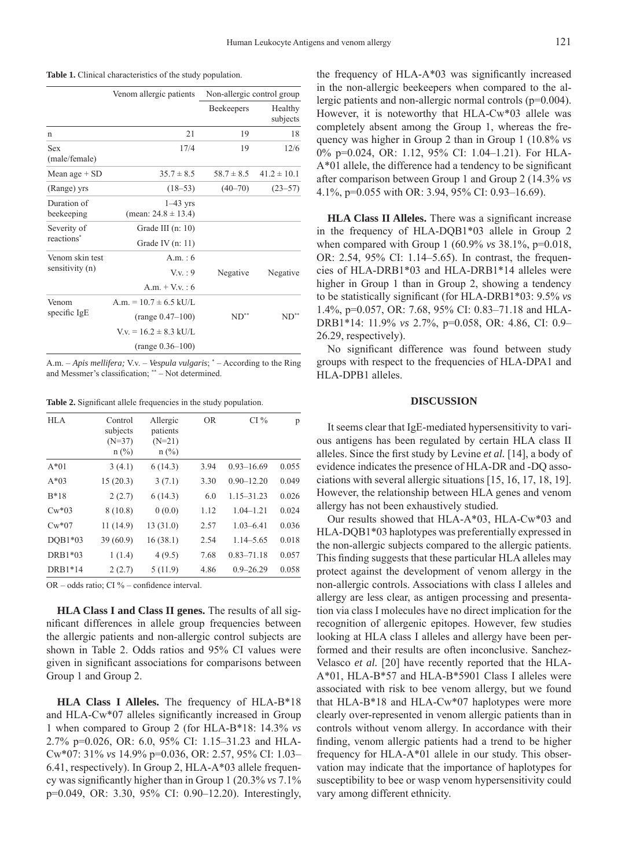| Table 1. Clinical characteristics of the study population. |  |  |  |  |
|------------------------------------------------------------|--|--|--|--|
|------------------------------------------------------------|--|--|--|--|

| Venom allergic patients                                                        | Non-allergic control group |                     |  |
|--------------------------------------------------------------------------------|----------------------------|---------------------|--|
|                                                                                | Beekeepers                 | Healthy<br>subjects |  |
| 21                                                                             | 19                         | 18                  |  |
| 17/4                                                                           | 19                         | 12/6                |  |
| $35.7 \pm 8.5$                                                                 | $58.7 \pm 8.5$             | $41.2 \pm 10.1$     |  |
| $(18 - 53)$                                                                    | $(40 - 70)$                | $(23 - 57)$         |  |
| $1-43$ yrs<br>(mean: $24.8 \pm 13.4$ )                                         |                            |                     |  |
| Grade III $(n: 10)$<br>Grade IV $(n: 11)$                                      |                            |                     |  |
| A m $\cdot$ 6<br>$V_V : 9$<br>A m + V v $\cdot$ 6                              | Negative                   | Negative            |  |
| A.m. $= 10.7 \pm 6.5$ kU/L.<br>$(range 0.47-100)$<br>$V_v = 16.2 \pm 8.3$ kU/L | $ND^*$                     | $ND^*$              |  |
|                                                                                | $(range 0.36-100)$         |                     |  |

A.m. – *Apis mellifera;* V.v. – *Vespula vulgaris*; \* – According to the Ring and Messmer's classification; \*\* – Not determined.

**Table 2.** Significant allele frequencies in the study population.

| <b>HLA</b> | Control<br>subjects<br>$(N=37)$<br>$n$ (%) | Allergic<br>patients<br>$(N=21)$<br>$n$ (%) | <b>OR</b> | CI%            | p     |
|------------|--------------------------------------------|---------------------------------------------|-----------|----------------|-------|
| $A*01$     | 3(4.1)                                     | 6(14.3)                                     | 3.94      | $0.93 - 16.69$ | 0.055 |
| $A*03$     | 15(20.3)                                   | 3(7.1)                                      | 3.30      | $0.90 - 12.20$ | 0.049 |
| $B*18$     | 2(2.7)                                     | 6(14.3)                                     | 6.0       | $1.15 - 31.23$ | 0.026 |
| $Cw*03$    | 8(10.8)                                    | 0(0.0)                                      | 1.12      | $1.04 - 1.21$  | 0.024 |
| $Cw*07$    | 11(14.9)                                   | 13(31.0)                                    | 2.57      | $1.03 - 6.41$  | 0.036 |
| $DOB1*03$  | 39(60.9)                                   | 16(38.1)                                    | 2.54      | $1.14 - 5.65$  | 0.018 |
| DRB1*03    | 1(1.4)                                     | 4(9.5)                                      | 7.68      | $0.83 - 71.18$ | 0.057 |
| DRB1*14    | 2(2.7)                                     | 5(11.9)                                     | 4.86      | $0.9 - 26.29$  | 0.058 |

OR – odds ratio; CI % – confidence interval.

**HLA Class I and Class II genes.** The results of all significant differences in allele group frequencies between the allergic patients and non-allergic control subjects are shown in Table 2. Odds ratios and 95% CI values were given in significant associations for comparisons between Group 1 and Group 2.

**HLA Class I Alleles.** The frequency of HLA-B\*18 and HLA-Cw\*07 alleles significantly increased in Group 1 when compared to Group 2 (for HLA-B\*18: 14.3% *vs* 2.7% p=0.026, OR: 6.0, 95% CI: 1.15–31.23 and HLA-Cw\*07: 31% *vs* 14.9% p=0.036, OR: 2.57, 95% CI: 1.03– 6.41, respectively). In Group 2, HLA-A\*03 allele frequency was significantly higher than in Group 1 (20.3% *vs* 7.1% p=0.049, OR: 3.30, 95% CI: 0.90–12.20). Interestingly,

the frequency of  $HLA-A*03$  was significantly increased in the non-allergic beekeepers when compared to the allergic patients and non-allergic normal controls (p=0.004). However, it is noteworthy that HLA-Cw\*03 allele was completely absent among the Group 1, whereas the frequency was higher in Group 2 than in Group 1 (10.8% *vs* 0% p=0.024, OR: 1.12, 95% CI: 1.04–1.21). For HLA- $A*01$  allele, the difference had a tendency to be significant after comparison between Group 1 and Group 2 (14.3% *vs* 4.1%, p=0.055 with OR: 3.94, 95% CI: 0.93–16.69).

**HLA Class II Alleles.** There was a significant increase in the frequency of HLA-DQB1\*03 allele in Group 2 when compared with Group 1 (60.9% *vs* 38.1%, p=0.018, OR: 2.54, 95% CI: 1.14–5.65). In contrast, the frequencies of HLA-DRB1\*03 and HLA-DRB1\*14 alleles were higher in Group 1 than in Group 2, showing a tendency to be statistically significant (for HLA-DRB1\*03: 9.5% *vs* 1.4%, p=0.057, OR: 7.68, 95% CI: 0.83–71.18 and HLA-DRB1\*14: 11.9% *vs* 2.7%, p=0.058, OR: 4.86, CI: 0.9– 26.29, respectively).

No significant difference was found between study groups with respect to the frequencies of HLA-DPA1 and HLA-DPB1 alleles.

#### **DISCUSSION**

It seems clear that IgE-mediated hypersensitivity to various antigens has been regulated by certain HLA class II alleles. Since the first study by Levine *et al.* [14], a body of evidence indicates the presence of HLA-DR and -DQ associations with several allergic situations [15, 16, 17, 18, 19]. However, the relationship between HLA genes and venom allergy has not been exhaustively studied.

Our results showed that HLA-A\*03, HLA-Cw\*03 and HLA-DQB1\*03 haplotypes was preferentially expressed in the non-allergic subjects compared to the allergic patients. This finding suggests that these particular HLA alleles may protect against the development of venom allergy in the non-allergic controls. Associations with class I alleles and allergy are less clear, as antigen processing and presentation via class I molecules have no direct implication for the recognition of allergenic epitopes. However, few studies looking at HLA class I alleles and allergy have been performed and their results are often inconclusive. Sanchez-Velasco *et al.* [20] have recently reported that the HLA-A\*01, HLA-B\*57 and HLA-B\*5901 Class I alleles were associated with risk to bee venom allergy, but we found that HLA-B\*18 and HLA-Cw\*07 haplotypes were more clearly over-represented in venom allergic patients than in controls without venom allergy. In accordance with their finding, venom allergic patients had a trend to be higher frequency for HLA-A\*01 allele in our study. This observation may indicate that the importance of haplotypes for susceptibility to bee or wasp venom hypersensitivity could vary among different ethnicity.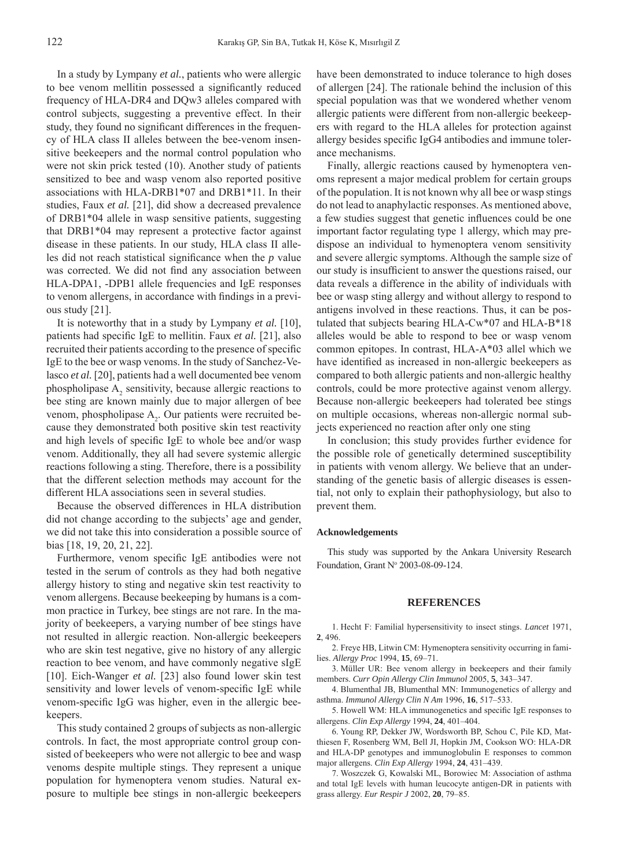In a study by Lympany *et al.*, patients who were allergic to bee venom mellitin possessed a significantly reduced frequency of HLA-DR4 and DQw3 alleles compared with control subjects, suggesting a preventive effect. In their study, they found no significant differences in the frequency of HLA class II alleles between the bee-venom insensitive beekeepers and the normal control population who were not skin prick tested (10). Another study of patients sensitized to bee and wasp venom also reported positive associations with HLA-DRB1\*07 and DRB1\*11. In their studies, Faux *et al.* [21], did show a decreased prevalence of DRB1\*04 allele in wasp sensitive patients, suggesting that DRB1\*04 may represent a protective factor against disease in these patients. In our study, HLA class II alleles did not reach statistical significance when the  $p$  value was corrected. We did not find any association between HLA-DPA1, -DPB1 allele frequencies and IgE responses to venom allergens, in accordance with findings in a previous study [21].

It is noteworthy that in a study by Lympany *et al.* [10], patients had specific IgE to mellitin. Faux *et al.* [21], also recruited their patients according to the presence of specific IgE to the bee or wasp venoms. In the study of Sanchez-Velasco *et al.* [20], patients had a well documented bee venom phospholipase  $A_2$  sensitivity, because allergic reactions to bee sting are known mainly due to major allergen of bee venom, phospholipase  $A_2$ . Our patients were recruited because they demonstrated both positive skin test reactivity and high levels of specific IgE to whole bee and/or wasp venom. Additionally, they all had severe systemic allergic reactions following a sting. Therefore, there is a possibility that the different selection methods may account for the different HLA associations seen in several studies.

Because the observed differences in HLA distribution did not change according to the subjects' age and gender, we did not take this into consideration a possible source of bias [18, 19, 20, 21, 22].

Furthermore, venom specific IgE antibodies were not tested in the serum of controls as they had both negative allergy history to sting and negative skin test reactivity to venom allergens. Because beekeeping by humans is a common practice in Turkey, bee stings are not rare. In the majority of beekeepers, a varying number of bee stings have not resulted in allergic reaction. Non-allergic beekeepers who are skin test negative, give no history of any allergic reaction to bee venom, and have commonly negative sIgE [10]. Eich-Wanger *et al.* [23] also found lower skin test sensitivity and lower levels of venom-specific IgE while venom-specific IgG was higher, even in the allergic beekeepers.

This study contained 2 groups of subjects as non-allergic controls. In fact, the most appropriate control group consisted of beekeepers who were not allergic to bee and wasp venoms despite multiple stings. They represent a unique population for hymenoptera venom studies. Natural exposure to multiple bee stings in non-allergic beekeepers have been demonstrated to induce tolerance to high doses of allergen [24]. The rationale behind the inclusion of this special population was that we wondered whether venom allergic patients were different from non-allergic beekeepers with regard to the HLA alleles for protection against allergy besides specific IgG4 antibodies and immune tolerance mechanisms.

Finally, allergic reactions caused by hymenoptera venoms represent a major medical problem for certain groups of the population. It is not known why all bee or wasp stings do not lead to anaphylactic responses. As mentioned above, a few studies suggest that genetic influences could be one important factor regulating type 1 allergy, which may predispose an individual to hymenoptera venom sensitivity and severe allergic symptoms. Although the sample size of our study is insufficient to answer the questions raised, our data reveals a difference in the ability of individuals with bee or wasp sting allergy and without allergy to respond to antigens involved in these reactions. Thus, it can be postulated that subjects bearing HLA-Cw\*07 and HLA-B\*18 alleles would be able to respond to bee or wasp venom common epitopes. In contrast, HLA-A\*03 allel which we have identified as increased in non-allergic beekeepers as compared to both allergic patients and non-allergic healthy controls, could be more protective against venom allergy. Because non-allergic beekeepers had tolerated bee stings on multiple occasions, whereas non-allergic normal subjects experienced no reaction after only one sting

In conclusion; this study provides further evidence for the possible role of genetically determined susceptibility in patients with venom allergy. We believe that an understanding of the genetic basis of allergic diseases is essential, not only to explain their pathophysiology, but also to prevent them.

#### **Acknowledgements**

This study was supported by the Ankara University Research Foundation, Grant Nº 2003-08-09-124.

#### **REFERENCES**

1. Hecht F: Familial hypersensitivity to insect stings. *Lancet* 1971, **2**, 496.

2. Freye HB, Litwin CM: Hymenoptera sensitivity occurring in families. *Allergy Proc* 1994, **15**, 69–71.

Müller UR: Bee venom allergy in beekeepers and their family 3. members. *Curr Opin Allergy Clin Immunol* 2005, **5**, 343–347.

4. Blumenthal JB, Blumenthal MN: Immunogenetics of allergy and asthma. *Immunol Allergy Clin N Am* 1996, **16**, 517–533.

5. Howell WM: HLA immunogenetics and specific IgE responses to allergens. *Clin Exp Allergy* 1994, **24**, 401–404.

6. Young RP, Dekker JW, Wordsworth BP, Schou C, Pile KD, Matthiesen F, Rosenberg WM, Bell JI, Hopkin JM, Cookson WO: HLA-DR and HLA-DP genotypes and immunoglobulin E responses to common major allergens. *Clin Exp Allergy* 1994, **24**, 431–439.

Woszczek G, Kowalski ML, Borowiec M: Association of asthma 7.and total IgE levels with human leucocyte antigen-DR in patients with grass allergy. *Eur Respir J* 2002, **20**, 79–85.